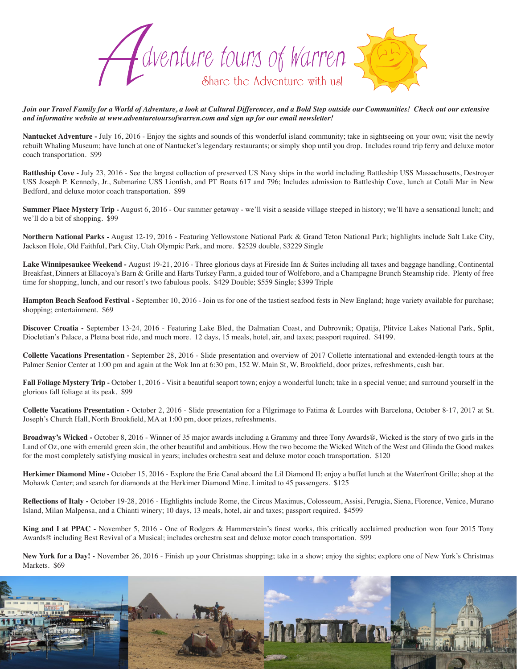

*Join our Travel Family for a World of Adventure, a look at Cultural Differences, and a Bold Step outside our Communities! Check out our extensive and informative website at www.adventuretoursofwarren.com and sign up for our email newsletter!* 

**Nantucket Adventure -** July 16, 2016 - Enjoy the sights and sounds of this wonderful island community; take in sightseeing on your own; visit the newly rebuilt Whaling Museum; have lunch at one of Nantucket's legendary restaurants; or simply shop until you drop. Includes round trip ferry and deluxe motor coach transportation. \$99

**Battleship Cove -** July 23, 2016 - See the largest collection of preserved US Navy ships in the world including Battleship USS Massachusetts, Destroyer USS Joseph P. Kennedy, Jr., Submarine USS Lionfish, and PT Boats 617 and 796; Includes admission to Battleship Cove, lunch at Cotali Mar in New Bedford, and deluxe motor coach transportation. \$99

**Summer Place Mystery Trip -** August 6, 2016 - Our summer getaway - we'll visit a seaside village steeped in history; we'll have a sensational lunch; and we'll do a bit of shopping. \$99

**Northern National Parks -** August 12-19, 2016 - Featuring Yellowstone National Park & Grand Teton National Park; highlights include Salt Lake City, Jackson Hole, Old Faithful, Park City, Utah Olympic Park, and more. \$2529 double, \$3229 Single

Lake Winnipesaukee Weekend - August 19-21, 2016 - Three glorious days at Fireside Inn & Suites including all taxes and baggage handling, Continental Breakfast, Dinners at Ellacoya's Barn & Grille and Harts Turkey Farm, a guided tour of Wolfeboro, and a Champagne Brunch Steamship ride. Plenty of free time for shopping, lunch, and our resort's two fabulous pools. \$429 Double; \$559 Single; \$399 Triple

**Hampton Beach Seafood Festival -** September 10, 2016 - Join us for one of the tastiest seafood fests in New England; huge variety available for purchase; shopping; entertainment. \$69

**Discover Croatia -** September 13-24, 2016 - Featuring Lake Bled, the Dalmatian Coast, and Dubrovnik; Opatija, Plitvice Lakes National Park, Split, Diocletian's Palace, a Pletna boat ride, and much more. 12 days, 15 meals, hotel, air, and taxes; passport required. \$4199.

**Collette Vacations Presentation -** September 28, 2016 - Slide presentation and overview of 2017 Collette international and extended-length tours at the Palmer Senior Center at 1:00 pm and again at the Wok Inn at 6:30 pm, 152 W. Main St, W. Brookfield, door prizes, refreshments, cash bar.

**Fall Foliage Mystery Trip -** October 1, 2016 - Visit a beautiful seaport town; enjoy a wonderful lunch; take in a special venue; and surround yourself in the glorious fall foliage at its peak. \$99

**Collette Vacations Presentation -** October 2, 2016 - Slide presentation for a Pilgrimage to Fatima & Lourdes with Barcelona, October 8-17, 2017 at St. Joseph's Church Hall, North Brookfield, MA at 1:00 pm, door prizes, refreshments.

**Broadway's Wicked -** October 8, 2016 - Winner of 35 major awards including a Grammy and three Tony Awards®, Wicked is the story of two girls in the Land of Oz, one with emerald green skin, the other beautiful and ambitious. How the two become the Wicked Witch of the West and Glinda the Good makes for the most completely satisfying musical in years; includes orchestra seat and deluxe motor coach transportation. \$120

**Herkimer Diamond Mine -** October 15, 2016 - Explore the Erie Canal aboard the Lil Diamond II; enjoy a buffet lunch at the Waterfront Grille; shop at the Mohawk Center; and search for diamonds at the Herkimer Diamond Mine. Limited to 45 passengers. \$125

Reflections of Italy - October 19-28, 2016 - Highlights include Rome, the Circus Maximus, Colosseum, Assisi, Perugia, Siena, Florence, Venice, Murano Island, Milan Malpensa, and a Chianti winery; 10 days, 13 meals, hotel, air and taxes; passport required. \$4599

**King and I at PPAC -** November 5, 2016 - One of Rodgers & Hammerstein's finest works, this critically acclaimed production won four 2015 Tony Awards® including Best Revival of a Musical; includes orchestra seat and deluxe motor coach transportation. \$99

**New York for a Day! -** November 26, 2016 - Finish up your Christmas shopping; take in a show; enjoy the sights; explore one of New York's Christmas Markets. \$69